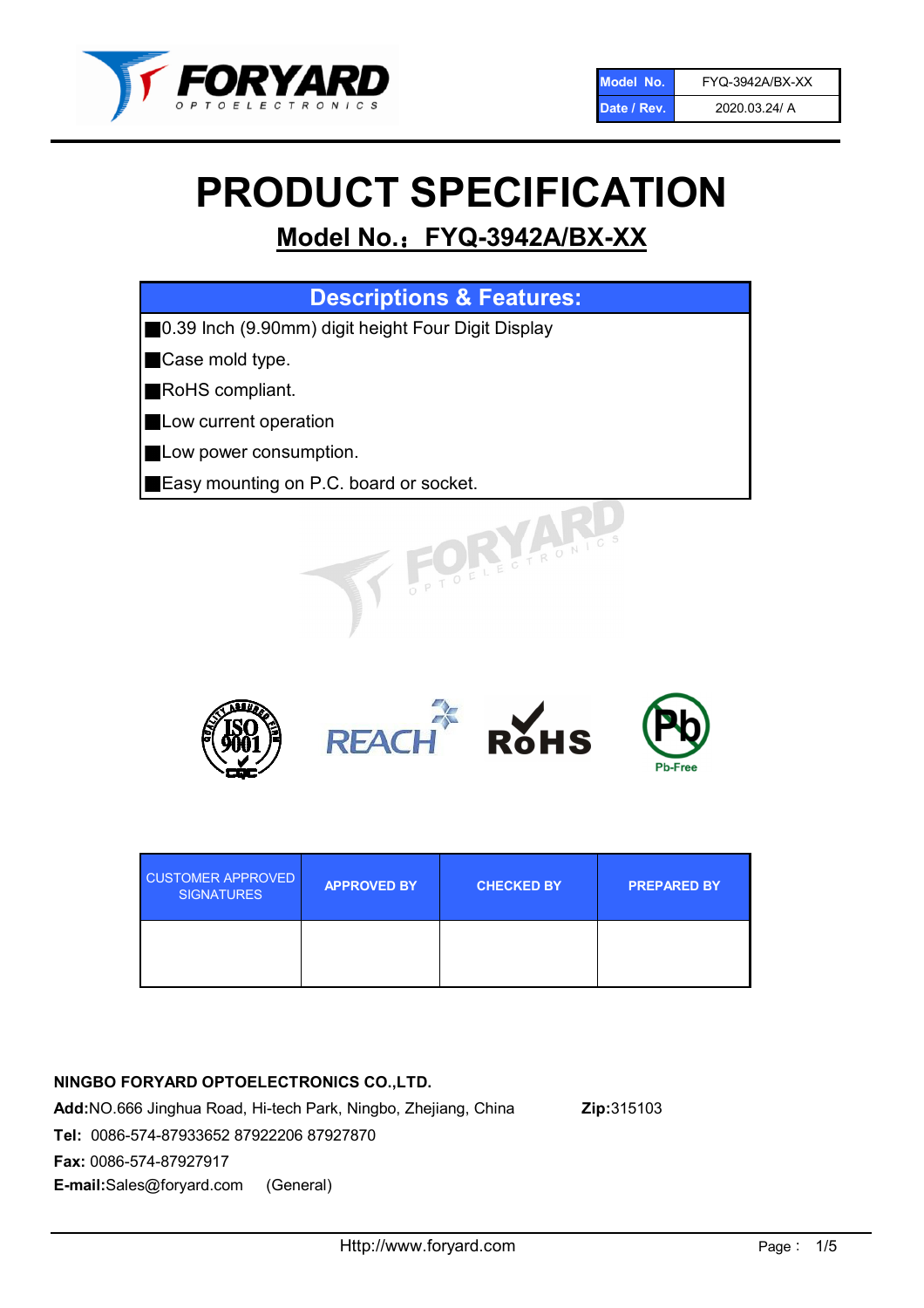

# PRODUCT SPECIFICATION

# Model No.: FYQ-3942A/BX-XX

| <b>Descriptions &amp; Features:</b>                |
|----------------------------------------------------|
| 0.39 Inch (9.90mm) digit height Four Digit Display |
| Case mold type.                                    |
| RoHS compliant.                                    |
| Low current operation                              |
| Low power consumption.                             |
| Easy mounting on P.C. board or socket.             |
| TOELECTRONIC                                       |



| <b>CUSTOMER APPROVED</b><br><b>SIGNATURES</b> | <b>APPROVED BY</b> | <b>CHECKED BY</b> | <b>PREPARED BY</b> |
|-----------------------------------------------|--------------------|-------------------|--------------------|
|                                               |                    |                   |                    |

#### NINGBO FORYARD OPTOELECTRONICS CO.,LTD.

Add:NO.666 Jinghua Road, Hi-tech Park, Ningbo, Zhejiang, China Zip:315103 Tel: 0086-574-87933652 87922206 87927870 Fax: 0086-574-87927917 E-mail:Sales@foryard.com (General)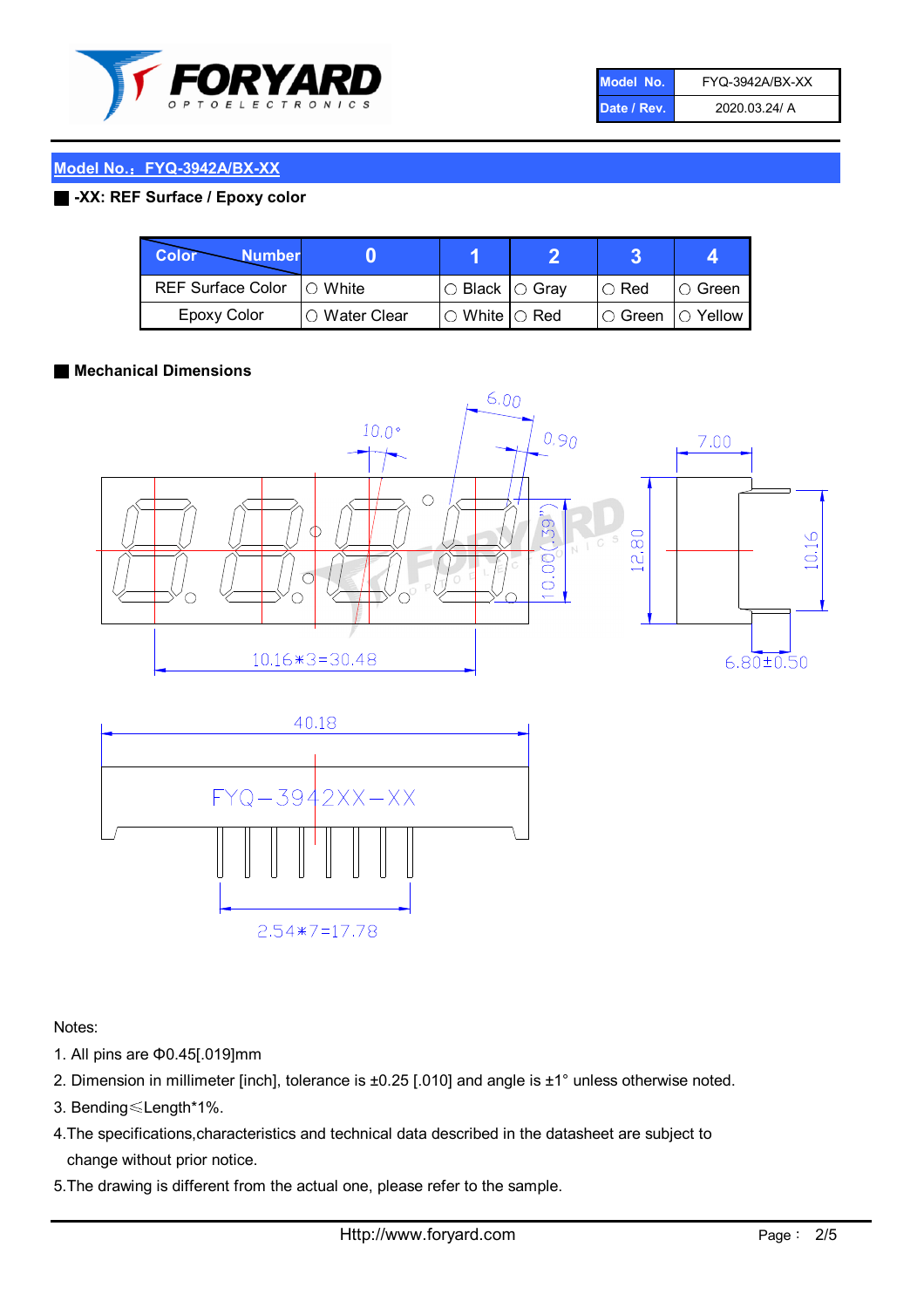

| Model No.   | FYQ-3942A/BX-XX |
|-------------|-----------------|
| Date / Rev. | 2020.03.24/ A   |

#### Model No.: FYQ-3942A/BX-XX

#### ■ -XX: REF Surface / Epoxy color

| Color<br><b>Number</b>     |                 |                           |             |                |
|----------------------------|-----------------|---------------------------|-------------|----------------|
| REF Surface Color  ○ White |                 | ○ Black  ○ Gray           | $\circ$ Red | IO Green       |
| Epoxy Color                | l ⊜ Water Clear | $\circ$ White $\circ$ Red | I⊖ Green    | $\circ$ Yellow |

#### ■ Mechanical Dimensions





Notes:

- 1. All pins are Φ0.45[.019]mm
- 2. Dimension in millimeter [inch], tolerance is ±0.25 [.010] and angle is ±1° unless otherwise noted.
- 3. Bending≤Length\*1%.
- 4.The specifications,characteristics and technical data described in the datasheet are subject to change without prior notice.
- 5.The drawing is different from the actual one, please refer to the sample.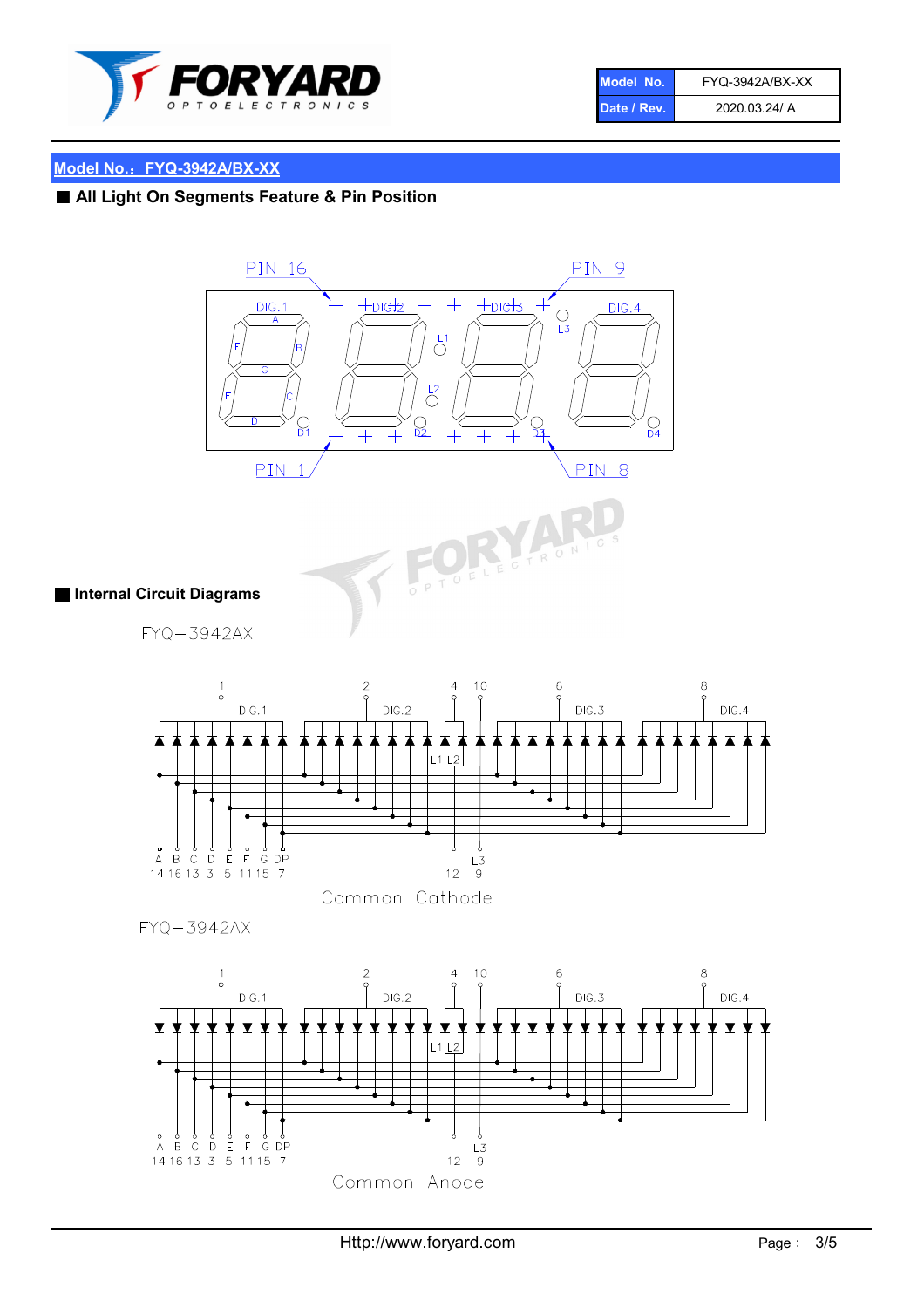

| Model No.   | FYQ-3942A/BX-XX |
|-------------|-----------------|
| Date / Rev. | 2020.03.24/ A   |

## Model No.: FYQ-3942A/BX-XX

## ■ All Light On Segments Feature & Pin Position





 $FYQ - 3942AX$ 



**FORT** CTRON

Common Cathode

FYQ-3942AX

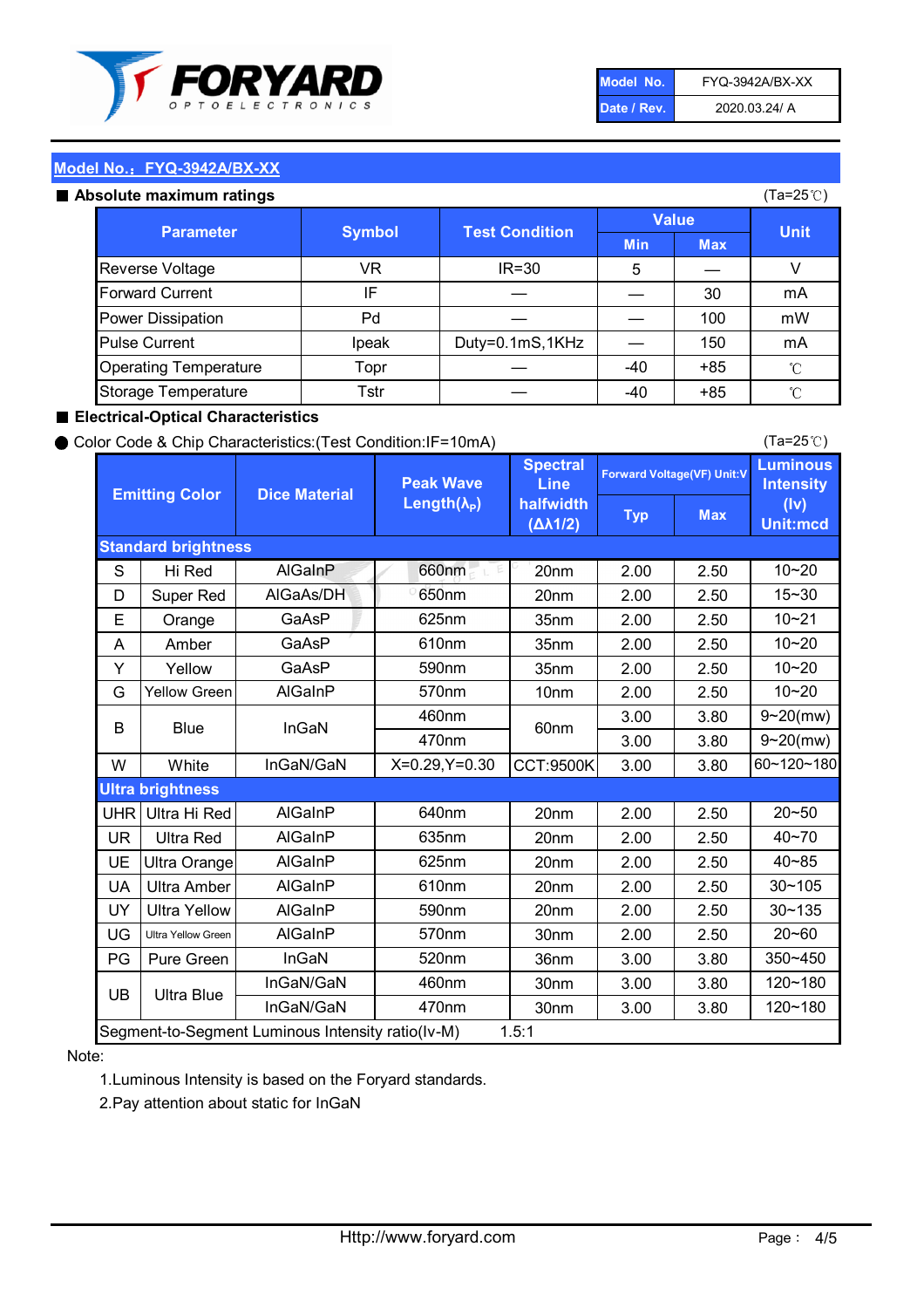

| Model No.   | FYQ-3942A/BX-XX |
|-------------|-----------------|
| Date / Rev. | 2020.03.24/ A   |

(Ta=25℃)

#### Model No.: FYQ-3942A/BX-XX

#### Absolute maximum

| solute maximum ratings       |               |                       |              |            | (Ta=25℃)    |
|------------------------------|---------------|-----------------------|--------------|------------|-------------|
| <b>Parameter</b>             | <b>Symbol</b> | <b>Test Condition</b> | <b>Value</b> |            |             |
|                              |               |                       | <b>Min</b>   | <b>Max</b> | <b>Unit</b> |
| Reverse Voltage              | VR            | $IR = 30$             | 5            |            |             |
| <b>Forward Current</b>       | IF            |                       |              | 30         | mA          |
| Power Dissipation            | Pd            |                       |              | 100        | mW          |
| <b>Pulse Current</b>         | Ipeak         | Duty=0.1mS,1KHz       |              | 150        | mA          |
| <b>Operating Temperature</b> | Topr          |                       | $-40$        | $+85$      | °C          |
| Storage Temperature          | Tstr          |                       | -40          | $+85$      | °C          |

#### ■ Electrical-Optical Characteristics

#### ● Color Code & Chip Characteristics:(Test Condition:IF=10mA)

Typ Max S | Hi $\textsf{Red}$  | AlGaInP | 660nm LE 20nm | 2.00 | 2.50 D | Super Red | AIGaAs/DH | 650nm | 20nm | 2.00 | 2.50 E | Orange | GaAsP | 625nm | 35nm | 2.00 | 2.50 A | Amber | GaAsP | 610nm | 35nm | 2.00 | 2.50 Y | Yellow | GaAsP | 590nm | 35nm | 2.00 | 2.50 G Yellow Green AIGaInP | 570nm | 10nm | 2.00 | 2.50 3.00 3.80 3.00 3.80 W | White | InGaN/GaN | X=0.29,Y=0.30 |CCT:9500K| 3.00 | 3.80 UHR Ultra Hi Red  $\vert$  AIGaInP  $\vert$  640nm  $\vert$  20nm  $\vert$  2.00  $\vert$  2.50 UR | Ultra Red | AlGaInP | 635nm | 20nm | 2.00 | 2.50 UE Ultra Orange | AIGaInP | 625nm | 20nm | 2.00 | 2.50 UA Ultra Amber | AIGaInP | 610nm | 20nm | 2.00 | 2.50  $UV$  Ultra Yellow  $\vert$  AlGaInP  $\vert$  590nm  $\vert$  20nm  $\vert$  2.00  $\vert$  2.50  $\text{UG}$  Ultra Yellow Green | AIGaInP | 570nm | 30nm | 2.00 | 2.50 PG Pure Green | InGaN | 520nm | 36nm | 3.00 | 3.80 30nm 3.00 3.80 30nm 3.00 3.80 10~20 Standard brightness Forward Voltage(VF) Unit:V 15~30 10~20 10~20 625nm GaAsP 590nm **Emitting Color Dice Material** 10~21 610nm Luminous **Intensity** (Iv) Unit:mcd AlGainP 660nm GaAsP GaAsP AlGaAs/DH **Spectral** Line halfwidth (∆λ1/2) Peak Wave Length $(\lambda_{\rm P})$ UB 460nm 635nm AlGaInP AlGaInP AlGaInP InGaN/GaN AlGaInP | 570nm | 10nm | 2.00 | 2.50 | 10~20 30~105 30~135 460nm 520nm Ultra brightness **AlGaInP** AlGaInP 60nm AlGaInP 640nm Segment-to-Segment Luminous Intensity ratio(Iv-M) 1.5:1 610nm 9~20(mw) 350~450 470nm 120~180 120~180 Ultra Blue InGaN/GaN 9~20(mw) 20~50 570nm | 30nm | 2.00 | 2.50 | 20~60 470nm 590nm InGaN/GaN B Blue I InGaN 40~85 60~120~180 40~70

#### Note:

1.Luminous Intensity is based on the Foryard standards.

2.Pay attention about static for InGaN